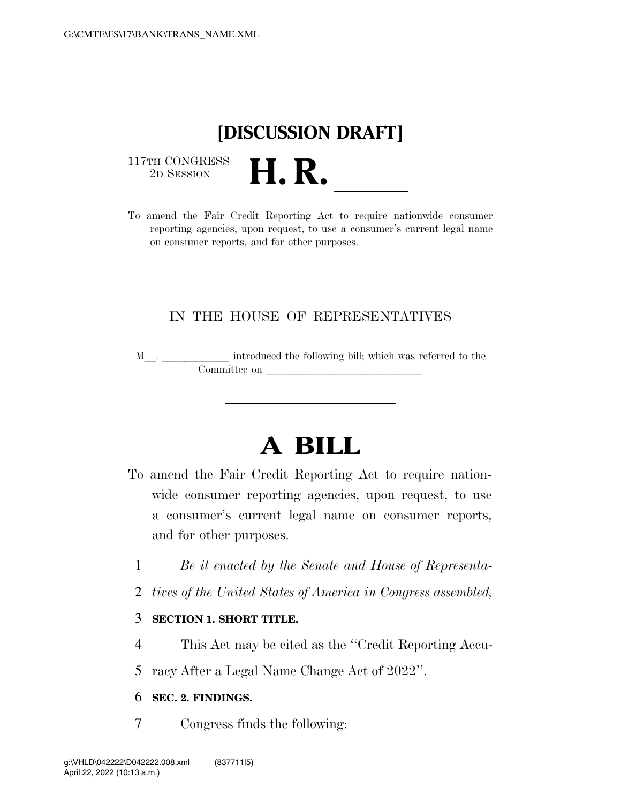## **[DISCUSSION DRAFT]**

 $\begin{array}{c} \text{117TH CONGRESS} \\ \text{2D Session} \end{array}$ 



#### IN THE HOUSE OF REPRESENTATIVES

M\_\_. \_\_\_\_\_\_\_\_\_\_\_\_ introduced the following bill; which was referred to the Committee on later and later than  $\sim$ 

# **A BILL**

- To amend the Fair Credit Reporting Act to require nationwide consumer reporting agencies, upon request, to use a consumer's current legal name on consumer reports, and for other purposes.
	- 1 *Be it enacted by the Senate and House of Representa-*
	- 2 *tives of the United States of America in Congress assembled,*

#### 3 **SECTION 1. SHORT TITLE.**

- 4 This Act may be cited as the ''Credit Reporting Accu-
- 5 racy After a Legal Name Change Act of 2022''.

#### 6 **SEC. 2. FINDINGS.**

7 Congress finds the following: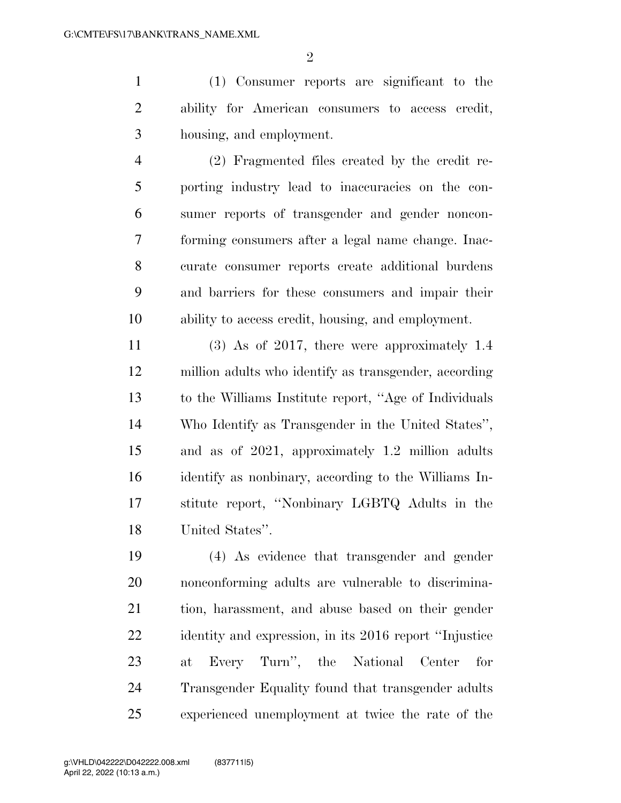$\mathfrak{D}$ 

 (1) Consumer reports are significant to the ability for American consumers to access credit, housing, and employment.

 (2) Fragmented files created by the credit re- porting industry lead to inaccuracies on the con- sumer reports of transgender and gender noncon- forming consumers after a legal name change. Inac- curate consumer reports create additional burdens and barriers for these consumers and impair their ability to access credit, housing, and employment.

 (3) As of 2017, there were approximately 1.4 million adults who identify as transgender, according to the Williams Institute report, ''Age of Individuals Who Identify as Transgender in the United States'', and as of 2021, approximately 1.2 million adults identify as nonbinary, according to the Williams In- stitute report, ''Nonbinary LGBTQ Adults in the United States''.

 (4) As evidence that transgender and gender nonconforming adults are vulnerable to discrimina- tion, harassment, and abuse based on their gender identity and expression, in its 2016 report ''Injustice at Every Turn'', the National Center for Transgender Equality found that transgender adults experienced unemployment at twice the rate of the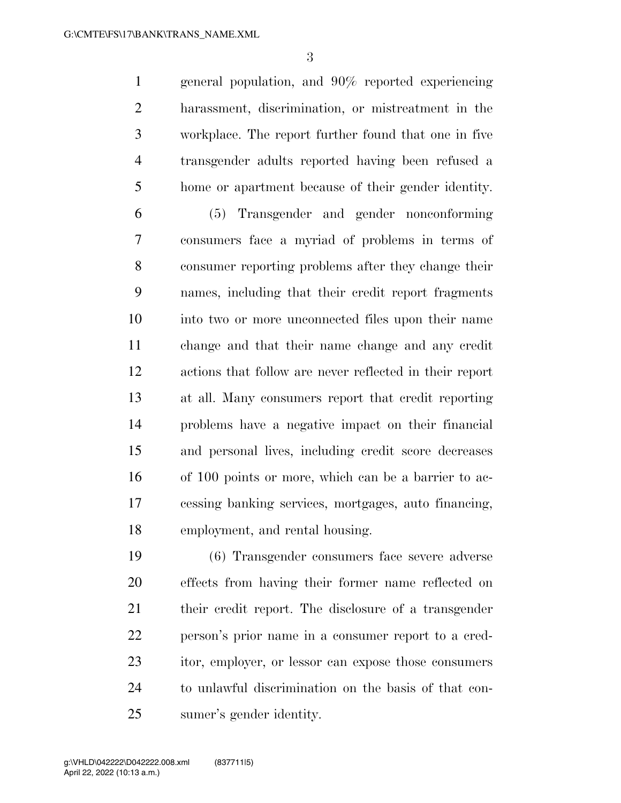general population, and 90% reported experiencing harassment, discrimination, or mistreatment in the workplace. The report further found that one in five transgender adults reported having been refused a home or apartment because of their gender identity.

 (5) Transgender and gender nonconforming consumers face a myriad of problems in terms of consumer reporting problems after they change their names, including that their credit report fragments into two or more unconnected files upon their name change and that their name change and any credit actions that follow are never reflected in their report at all. Many consumers report that credit reporting problems have a negative impact on their financial and personal lives, including credit score decreases of 100 points or more, which can be a barrier to ac- cessing banking services, mortgages, auto financing, employment, and rental housing.

 (6) Transgender consumers face severe adverse effects from having their former name reflected on their credit report. The disclosure of a transgender person's prior name in a consumer report to a cred- itor, employer, or lessor can expose those consumers to unlawful discrimination on the basis of that con-sumer's gender identity.